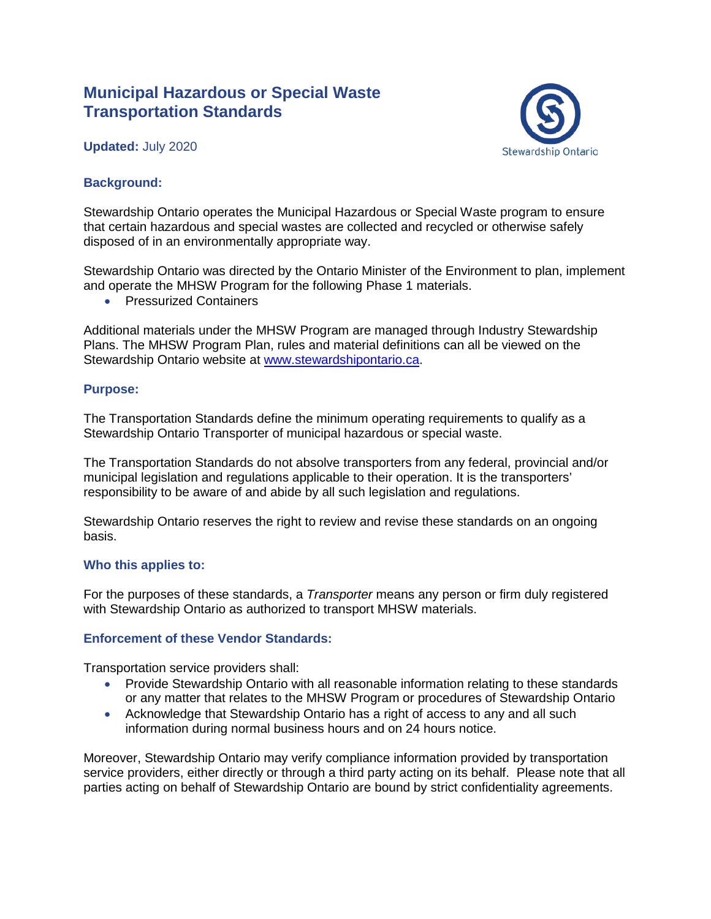# **Municipal Hazardous or Special Waste Transportation Standards**

## **Updated:** July 2020



#### **Background:**

Stewardship Ontario operates the Municipal Hazardous or Special Waste program to ensure that certain hazardous and special wastes are collected and recycled or otherwise safely disposed of in an environmentally appropriate way.

Stewardship Ontario was directed by the Ontario Minister of the Environment to plan, implement and operate the MHSW Program for the following Phase 1 materials.

• Pressurized Containers

Additional materials under the MHSW Program are managed through Industry Stewardship Plans. The MHSW Program Plan, rules and material definitions can all be viewed on the Stewardship Ontario website at [www.stewardshipontario.ca.](http://www.stewardshipontario.ca/)

#### **Purpose:**

The Transportation Standards define the minimum operating requirements to qualify as a Stewardship Ontario Transporter of municipal hazardous or special waste.

The Transportation Standards do not absolve transporters from any federal, provincial and/or municipal legislation and regulations applicable to their operation. It is the transporters' responsibility to be aware of and abide by all such legislation and regulations.

Stewardship Ontario reserves the right to review and revise these standards on an ongoing basis.

#### **Who this applies to:**

For the purposes of these standards, a *Transporter* means any person or firm duly registered with Stewardship Ontario as authorized to transport MHSW materials.

#### **Enforcement of these Vendor Standards:**

Transportation service providers shall:

- Provide Stewardship Ontario with all reasonable information relating to these standards or any matter that relates to the MHSW Program or procedures of Stewardship Ontario
- Acknowledge that Stewardship Ontario has a right of access to any and all such information during normal business hours and on 24 hours notice.

Moreover, Stewardship Ontario may verify compliance information provided by transportation service providers, either directly or through a third party acting on its behalf. Please note that all parties acting on behalf of Stewardship Ontario are bound by strict confidentiality agreements.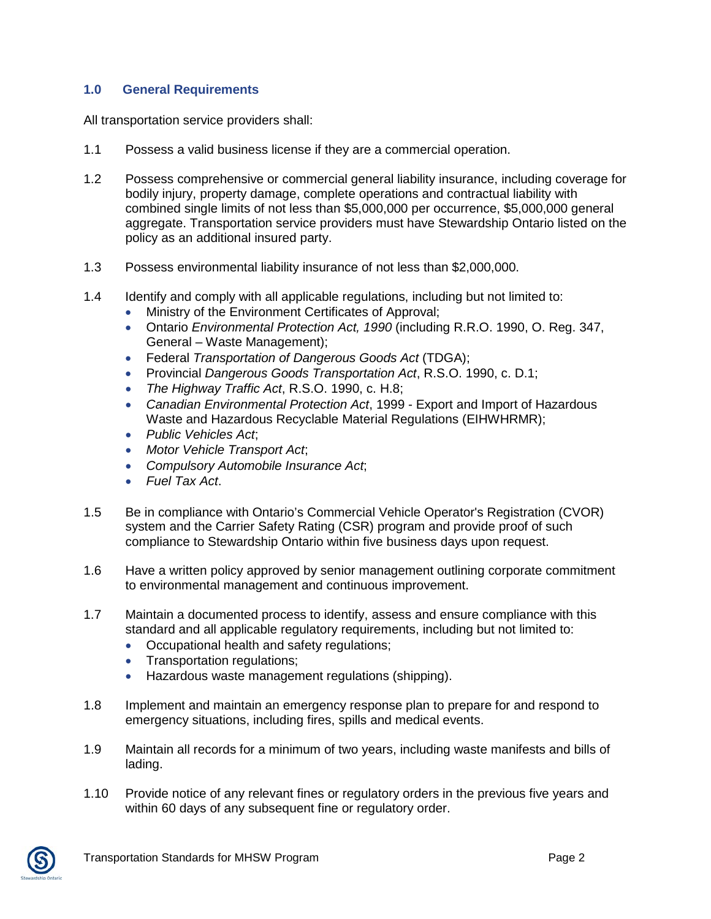# **1.0 General Requirements**

All transportation service providers shall:

- 1.1 Possess a valid business license if they are a commercial operation.
- 1.2 Possess comprehensive or commercial general liability insurance, including coverage for bodily injury, property damage, complete operations and contractual liability with combined single limits of not less than \$5,000,000 per occurrence, \$5,000,000 general aggregate. Transportation service providers must have Stewardship Ontario listed on the policy as an additional insured party.
- 1.3 Possess environmental liability insurance of not less than \$2,000,000.
- 1.4 Identify and comply with all applicable regulations, including but not limited to:
	- Ministry of the Environment Certificates of Approval;
	- Ontario *Environmental Protection Act, 1990* (including R.R.O. 1990, O. Reg. 347, General – Waste Management);
	- Federal *Transportation of Dangerous Goods Act* (TDGA);
	- Provincial *Dangerous Goods Transportation Act*, R.S.O. 1990, c. D.1;
	- *The Highway Traffic Act*, R.S.O. 1990, c. H.8;
	- *Canadian Environmental Protection Act*, 1999 Export and Import of Hazardous Waste and Hazardous Recyclable Material Regulations (EIHWHRMR);
	- *Public Vehicles Act*;
	- *Motor Vehicle Transport Act*;
	- *Compulsory Automobile Insurance Act*;
	- *Fuel Tax Act*.
- 1.5 Be in compliance with Ontario's Commercial Vehicle Operator's Registration (CVOR) system and the Carrier Safety Rating (CSR) program and provide proof of such compliance to Stewardship Ontario within five business days upon request.
- 1.6 Have a written policy approved by senior management outlining corporate commitment to environmental management and continuous improvement.
- 1.7 Maintain a documented process to identify, assess and ensure compliance with this standard and all applicable regulatory requirements, including but not limited to:
	- Occupational health and safety regulations;
	- Transportation regulations;
	- Hazardous waste management regulations (shipping).
- 1.8 Implement and maintain an emergency response plan to prepare for and respond to emergency situations, including fires, spills and medical events.
- 1.9 Maintain all records for a minimum of two years, including waste manifests and bills of lading.
- 1.10 Provide notice of any relevant fines or regulatory orders in the previous five years and within 60 days of any subsequent fine or regulatory order.